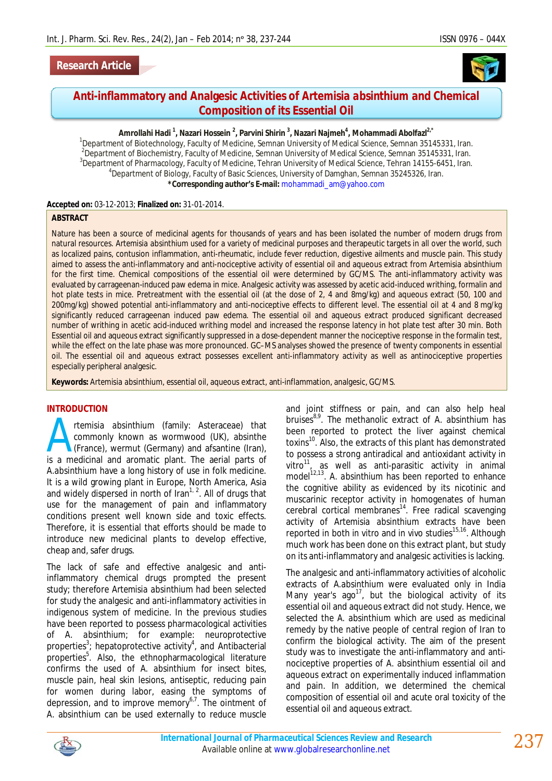



# **Anti-inflammatory and Analgesic Activities of** *Artemisia absinthium* **and Chemical Composition of its Essential Oil**

#### **Amrollahi Hadi <sup>1</sup> , Nazari Hossein <sup>2</sup> , Parvini Shirin <sup>3</sup> , Nazari Najmeh<sup>4</sup> , Mohammadi Abolfazl2,\***

<sup>1</sup>Department of Biotechnology, Faculty of Medicine, Semnan University of Medical Science, Semnan 35145331, Iran.  $^2$ Department of Biochemistry, Faculty of Medicine, Semnan University of Medical Science, Semnan 35145331, Iran. <sup>3</sup>Department of Pharmacology, Faculty of Medicine, Tehran University of Medical Science, Tehran 14155-6451, Iran. 4 Department of Biology, Faculty of Basic Sciences, University of Damghan, Semnan 35245326, Iran. **\*Corresponding author's E-mail:** mohammadi\_am@yahoo.com

#### **Accepted on:** 03-12-2013; **Finalized on:** 31-01-2014.

#### **ABSTRACT**

Nature has been a source of medicinal agents for thousands of years and has been isolated the number of modern drugs from natural resources. *Artemisia absinthium* used for a variety of medicinal purposes and therapeutic targets in all over the world, such as localized pains, contusion inflammation, anti-rheumatic, include fever reduction, digestive ailments and muscle pain. This study aimed to assess the anti-inflammatory and anti-nociceptive activity of essential oil and aqueous extract from *Artemisia absinthium* for the first time. Chemical compositions of the essential oil were determined by GC/MS. The anti-inflammatory activity was evaluated by carrageenan-induced paw edema in mice. Analgesic activity was assessed by acetic acid-induced writhing, formalin and hot plate tests in mice. Pretreatment with the essential oil (at the dose of 2, 4 and 8mg/kg) and aqueous extract (50, 100 and 200mg/kg) showed potential anti-inflammatory and anti-nociceptive effects to different level. The essential oil at 4 and 8 mg/kg significantly reduced carrageenan induced paw edema. The essential oil and aqueous extract produced significant decreased number of writhing in acetic acid-induced writhing model and increased the response latency in hot plate test after 30 min. Both Essential oil and aqueous extract significantly suppressed in a dose-dependent manner the nociceptive response in the formalin test, while the effect on the late phase was more pronounced. GC–MS analyses showed the presence of twenty components in essential oil. The essential oil and aqueous extract possesses excellent anti-inflammatory activity as well as antinociceptive properties especially peripheral analgesic.

**Keywords:** *Artemisia absinthium*, essential oil, aqueous extract, anti-inflammation, analgesic, GC/MS.

### **INTRODUCTION**

*rtemisia absinthium* (family: Asteraceae) that commonly known as wormwood (UK), absinthe (France), wermut (Germany) and afsantine (Iran), rtemisia absinthium (family: Asteraceae) that<br>commonly known as wormwood (UK), absinthe<br>(France), wermut (Germany) and afsantine (Iran),<br>is a medicinal and aromatic plant. The aerial parts of *A.absinthium* have a long history of use in folk medicine. It is a wild growing plant in Europe, North America, Asia and widely dispersed in north of  $\text{tran}^{1, 2}$ . All of drugs that use for the management of pain and inflammatory conditions present well known side and toxic effects. Therefore, it is essential that efforts should be made to introduce new medicinal plants to develop effective, cheap and, safer drugs.

The lack of safe and effective analgesic and antiinflammatory chemical drugs prompted the present study; therefore *Artemisia absinthium* had been selected for study the analgesic and anti-inflammatory activities in indigenous system of medicine. In the previous studies have been reported to possess pharmacological activities of *A. absinthium*; for example: neuroprotective properties<sup>3</sup>; hepatoprotective activity<sup>4</sup>, and Antibacterial properties<sup>5</sup>. Also, the ethnopharmacological literature confirms the used of *A. absinthium* for insect bites, muscle pain, heal skin lesions, antiseptic, reducing pain for women during labor, easing the symptoms of depression, and to improve memory $6^{7}$ . The ointment of *A.* absinthium can be used externally to reduce muscle

and joint stiffness or pain, and can also help heal bruises8,9. The methanolic extract of *A. absinthium* has been reported to protect the liver against chemical toxins<sup>10</sup>. Also, the extracts of this plant has demonstrated to possess a strong antiradical and antioxidant activity in vitro $^{11}$ , as well as anti-parasitic activity in animal model<sup>12,13</sup>. A. absinthium has been reported to enhance the cognitive ability as evidenced by its nicotinic and muscarinic receptor activity in homogenates of human cerebral cortical membranes<sup>14</sup>. Free radical scavenging activity of *Artemisia absinthium* extracts have been reported in both *in vitro* and *in vivo* studies<sup>15,16</sup>. Although much work has been done on this extract plant, but study on its anti-inflammatory and analgesic activities is lacking.

The analgesic and anti-inflammatory activities of alcoholic extracts of *A.absinthium* were evaluated only in India Many year's ago<sup>17</sup>, but the biological activity of its essential oil and aqueous extract did not study. Hence, we selected *the A. absinthium* which are used as medicinal remedy by the native people of central region of Iran to confirm the biological activity. The aim of the present study was to investigate the anti-inflammatory and antinociceptive properties of *A. absinthium* essential oil and aqueous extract on experimentally induced inflammation and pain. In addition, we determined the chemical composition of essential oil and acute oral toxicity of the essential oil and aqueous extract.

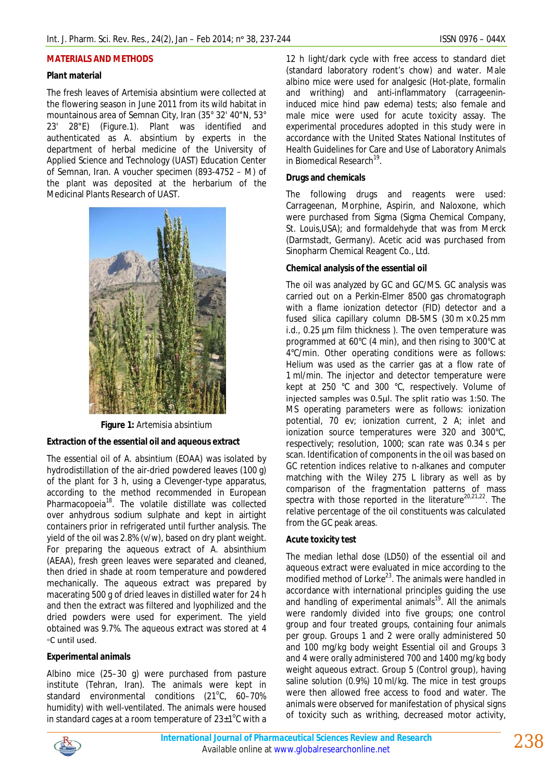#### **MATERIALS AND METHODS**

### **Plant material**

The fresh leaves of *Artemisia absintium* were collected at the flowering season in June 2011 from its wild habitat in mountainous area of Semnan City, Iran (35° 32' 40"N, 53° 23' 28"E) (Figure.1). Plant was identified and authenticated as *A. absintium* by experts in the department of herbal medicine of the University of Applied Science and Technology (UAST) Education Center of Semnan, Iran. A voucher specimen (893-4752 – M) of the plant was deposited at the herbarium of the Medicinal Plants Research of UAST.



**Figure 1:** *Artemisia absintium*

### **Extraction of the essential oil and aqueous extract**

The essential oil of *A. absintium* (EOAA) was isolated by hydrodistillation of the air-dried powdered leaves (100 g) of the plant for 3 h, using a Clevenger-type apparatus, according to the method recommended in European Pharmacopoeia<sup>18</sup>. The volatile distillate was collected over anhydrous sodium sulphate and kept in airtight containers prior in refrigerated until further analysis. The yield of the oil was 2.8% (v/w), based on dry plant weight. For preparing the aqueous extract *of A. absinthium* (AEAA), fresh green leaves were separated and cleaned, then dried in shade at room temperature and powdered mechanically. The aqueous extract was prepared by macerating 500 g of dried leaves in distilled water for 24 h and then the extract was filtered and lyophilized and the dried powders were used for experiment. The yield obtained was 9.7%. The aqueous extract was stored at 4 ◦C until used.

# **Experimental animals**

Albino mice (25–30 g) were purchased from pasture institute (Tehran, Iran). The animals were kept in standard environmental conditions  $(21^{\circ}C, 60-70^{\circ})$ humidity) with well-ventilated. The animals were housed in standard cages at a room temperature of  $23\pm1^{\circ}$ C with a

12 h light/dark cycle with free access to standard diet (standard laboratory rodent's chow) and water. Male albino mice were used for analgesic (Hot-plate, formalin and writhing) and anti-inflammatory (carrageenininduced mice hind paw edema) tests; also female and male mice were used for acute toxicity assay. The experimental procedures adopted in this study were in accordance with the United States National Institutes of Health Guidelines for Care and Use of Laboratory Animals in Biomedical Research<sup>19</sup>.

### **Drugs and chemicals**

The following drugs and reagents were used: Carrageenan, Morphine, Aspirin, and Naloxone, which were purchased from Sigma (Sigma Chemical Company, St. Louis,USA); and formaldehyde that was from Merck (Darmstadt, Germany). Acetic acid was purchased from Sinopharm Chemical Reagent Co., Ltd.

### **Chemical analysis of the essential oil**

The oil was analyzed by GC and GC/MS. GC analysis was carried out on a Perkin-Elmer 8500 gas chromatograph with a flame ionization detector (FID) detector and a fused silica capillary column DB-5MS (30 m × 0.25 mm i.d., 0.25 µm film thickness ). The oven temperature was programmed at 60°C (4 min), and then rising to 300°C at 4°C/min. Other operating conditions were as follows: Helium was used as the carrier gas at a flow rate of 1 ml/min. The injector and detector temperature were kept at 250 °C and 300 °C, respectively. Volume of injected samples was 0.5µl. The split ratio was 1:50. The MS operating parameters were as follows: ionization potential, 70 ev; ionization current, 2 A; inlet and ionization source temperatures were 320 and 300°C, respectively; resolution, 1000; scan rate was 0.34 s per scan. Identification of components in the oil was based on GC retention indices relative to *n*-alkanes and computer matching with the Wiley 275 L library as well as by comparison of the fragmentation patterns of mass spectra with those reported in the literature $^{20,21,22}$ . The relative percentage of the oil constituents was calculated from the GC peak areas.

### **Acute toxicity test**

The median lethal dose (LD50) of the essential oil and aqueous extract were evaluated in mice according to the modified method of Lorke<sup>23</sup>. The animals were handled in accordance with international principles guiding the use and handling of experimental animals<sup>19</sup>. All the animals were randomly divided into five groups; one control group and four treated groups, containing four animals per group. Groups 1 and 2 were orally administered 50 and 100 mg/kg body weight Essential oil and Groups 3 and 4 were orally administered 700 and 1400 mg/kg body weight aqueous extract. Group 5 (Control group), having saline solution (0.9%) 10 ml/kg. The mice in test groups were then allowed free access to food and water. The animals were observed for manifestation of physical signs of toxicity such as writhing, decreased motor activity,

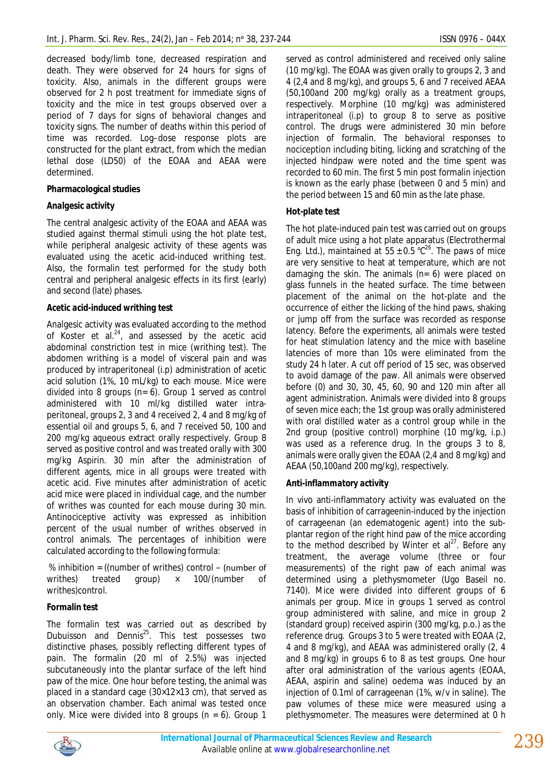decreased body/limb tone, decreased respiration and death. They were observed for 24 hours for signs of toxicity. Also, animals in the different groups were observed for 2 h post treatment for immediate signs of toxicity and the mice in test groups observed over a period of 7 days for signs of behavioral changes and toxicity signs. The number of deaths within this period of time was recorded. Log–dose response plots are constructed for the plant extract, from which the median lethal dose (LD50) of the EOAA and AEAA were determined.

### **Pharmacological studies**

# *Analgesic activity*

The central analgesic activity of the EOAA and AEAA was studied against thermal stimuli using the hot plate test, while peripheral analgesic activity of these agents was evaluated using the acetic acid-induced writhing test. Also, the formalin test performed for the study both central and peripheral analgesic effects in its first (early) and second (late) phases.

# *Acetic acid-induced writhing test*

Analgesic activity was evaluated according to the method of Koster et al. $^{24}$ , and assessed by the acetic acid abdominal constriction test in mice (writhing test). The abdomen writhing is a model of visceral pain and was produced by intraperitoneal (i.p) administration of acetic acid solution (1%, 10 mL/kg) to each mouse. Mice were divided into 8 groups (n= 6). Group 1 served as control administered with 10 ml/kg distilled water intraperitoneal, groups 2, 3 and 4 received 2, 4 and 8 mg/kg of essential oil and groups 5, 6, and 7 received 50, 100 and 200 mg/kg aqueous extract orally respectively. Group 8 served as positive control and was treated orally with 300 mg/kg Aspirin. 30 min after the administration of different agents, mice in all groups were treated with acetic acid. Five minutes after administration of acetic acid mice were placed in individual cage, and the number of writhes was counted for each mouse during 30 min. Antinociceptive activity was expressed as inhibition percent of the usual number of writhes observed in control animals. The percentages of inhibition were calculated according to the following formula:

% inhibition = ((number of writhes) control − (number of writhes) treated group) × 100/(number of writhes)control.

# **Formalin test**

The formalin test was carried out as described by Dubuisson and Dennis<sup>25</sup>. This test possesses two distinctive phases, possibly reflecting different types of pain. The formalin (20 ml of 2.5%) was injected subcutaneously into the plantar surface of the left hind paw of the mice. One hour before testing, the animal was placed in a standard cage (30×12×13 cm), that served as an observation chamber. Each animal was tested once only. Mice were divided into 8 groups (n = 6). Group 1

served as control administered and received only saline (10 mg/kg). The EOAA was given orally to groups 2, 3 and 4 (2,4 and 8 mg/kg), and groups 5, 6 and 7 received AEAA (50,100and 200 mg/kg) orally as a treatment groups, respectively. Morphine (10 mg/kg) was administered intraperitoneal (i.p) to group 8 to serve as positive control. The drugs were administered 30 min before injection of formalin. The behavioral responses to nociception including biting, licking and scratching of the injected hindpaw were noted and the time spent was recorded to 60 min. The first 5 min post formalin injection is known as the early phase (between 0 and 5 min) and the period between 15 and 60 min as the late phase.

### **Hot-plate test**

The hot plate-induced pain test was carried out on groups of adult mice using a hot plate apparatus (Electrothermal Eng. Ltd.), maintained at  $55 \pm 0.5$  °C<sup>26</sup>. The paws of mice are very sensitive to heat at temperature, which are not damaging the skin. The animals  $(n= 6)$  were placed on glass funnels in the heated surface. The time between placement of the animal on the hot-plate and the occurrence of either the licking of the hind paws, shaking or jump off from the surface was recorded as response latency. Before the experiments, all animals were tested for heat stimulation latency and the mice with baseline latencies of more than 10s were eliminated from the study 24 h later. A cut off period of 15 sec, was observed to avoid damage of the paw. All animals were observed before (0) and 30, 30, 45, 60, 90 and 120 min after all agent administration. Animals were divided into 8 groups of seven mice each; the 1st group was orally administered with oral distilled water as a control group while in the 2nd group (positive control) morphine (10 mg/kg, i.p.) was used as a reference drug. In the groups 3 to 8, animals were orally given the EOAA (2,4 and 8 mg/kg) and AEAA (50,100and 200 mg/kg), respectively.

# *Anti-inflammatory activity*

In vivo anti-inflammatory activity was evaluated on the basis of inhibition of carrageenin-induced by the injection of carrageenan (an edematogenic agent) into the subplantar region of the right hind paw of the mice according to the method described by Winter et  $al^{27}$ . Before any treatment, the average volume (three or four measurements) of the right paw of each animal was determined using a plethysmometer (Ugo Baseil no. 7140). Mice were divided into different groups of 6 animals per group. Mice in groups 1 served as control group administered with saline, and mice in group 2 (standard group) received aspirin (300 mg/kg, p.o.) as the reference drug. Groups 3 to 5 were treated with EOAA (2, 4 and 8 mg/kg), and AEAA was administered orally (2, 4 and 8 mg/kg) in groups 6 to 8 as test groups. One hour after oral administration of the various agents (EOAA, AEAA, aspirin and saline) oedema was induced by an injection of 0.1ml of carrageenan (1%, w/v in saline). The paw volumes of these mice were measured using a plethysmometer. The measures were determined at 0 h

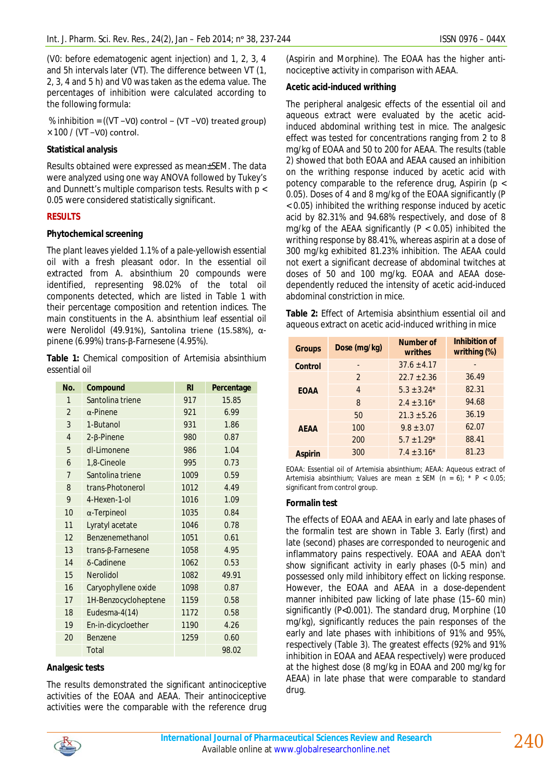(V0: before edematogenic agent injection) and 1, 2, 3, 4 and 5h intervals later (VT). The difference between VT (1, 2, 3, 4 and 5 h) and V0 was taken as the edema value. The percentages of inhibition were calculated according to the following formula:

% inhibition = ((VT −V0) control − (VT −V0) treated group) × 100 / (VT −V0) control.

### **Statistical analysis**

Results obtained were expressed as mean±SEM. The data were analyzed using one way ANOVA followed by Tukey's and Dunnett's multiple comparison tests. Results with p < 0.05 were considered statistically significant.

### **RESULTS**

### **Phytochemical screening**

The plant leaves yielded 1.1% of a pale-yellowish essential oil with a fresh pleasant odor. In the essential oil extracted from *A. absinthium* 20 compounds were identified, representing 98.02% of the total oil components detected, which are listed in Table 1 with their percentage composition and retention indices. The main constituents in the *A. absinthium* leaf essential oil were Nerolidol (49.91%), Santolina triene (15.58%), αpinene (6.99%) *trans*-β-Farnesene (4.95%).

**Table 1:** Chemical composition of *Artemisia absinthium* essential oil

| No.            | Compound                 | R <sub>l</sub> | Percentage |
|----------------|--------------------------|----------------|------------|
| 1              | Santolina triene         | 917            | 15.85      |
| $\overline{2}$ | $\alpha$ -Pinene         | 921            | 6.99       |
| 3              | 1-Butanol                | 931            | 1.86       |
| $\overline{4}$ | $2 - \beta$ -Pinene      | 980            | 0.87       |
| 5              | dl-Limonene              | 986            | 1.04       |
| 6              | 1,8-Cineole              | 995            | 0.73       |
| 7              | Santolina triene         | 1009           | 0.59       |
| 8              | trans-Photonerol         | 1012           | 4.49       |
| 9              | 4-Hexen-1-ol             | 1016           | 1.09       |
| 10             | $\alpha$ -Terpineol      | 1035           | 0.84       |
| 11             | Lyratyl acetate          | 1046           | 0.78       |
| 12             | Benzenemethanol          | 1051           | 0.61       |
| 13             | $trans-\beta$ -Farnesene | 1058           | 4.95       |
| 14             | δ-Cadinene               | 1062           | 0.53       |
| 15             | Nerolidol                | 1082           | 49.91      |
| 16             | Caryophyllene oxide      | 1098           | 0.87       |
| 17             | 1H-Benzocycloheptene     | 1159           | 0.58       |
| 18             | Eudesma-4(14)            | 1172           | 0.58       |
| 19             | En-in-dicycloether       | 1190           | 4.26       |
| 20             | <b>Benzene</b>           | 1259           | 0.60       |
|                | Total                    |                | 98.02      |

### **Analgesic tests**

The results demonstrated the significant antinociceptive activities of the EOAA and AEAA. Their antinociceptive activities were the comparable with the reference drug (Aspirin and Morphine). The EOAA has the higher antinociceptive activity in comparison with AEAA.

### **Acetic acid-induced writhing**

The peripheral analgesic effects of the essential oil and aqueous extract were evaluated by the acetic acidinduced abdominal writhing test in mice. The analgesic effect was tested for concentrations ranging from 2 to 8 mg/kg of EOAA and 50 to 200 for AEAA. The results (table 2) showed that both EOAA and AEAA caused an inhibition on the writhing response induced by acetic acid with potency comparable to the reference drug, Aspirin ( $p <$ 0.05). Doses of 4 and 8 mg/kg of the EOAA significantly (P < 0.05) inhibited the writhing response induced by acetic acid by 82.31% and 94.68% respectively, and dose of 8 mg/kg of the AEAA significantly ( $P < 0.05$ ) inhibited the writhing response by 88.41%, whereas aspirin at a dose of 300 mg/kg exhibited 81.23% inhibition. The AEAA could not exert a significant decrease of abdominal twitches at doses of 50 and 100 mg/kg. EOAA and AEAA dosedependently reduced the intensity of acetic acid-induced abdominal constriction in mice.

|  |  | Table 2: Effect of Artemisia absinthium essential oil and |  |
|--|--|-----------------------------------------------------------|--|
|  |  | aqueous extract on acetic acid-induced writhing in mice   |  |

| <b>Groups</b>  | Dose (mg/kg)  | <b>Number of</b><br>writhes | Inhibition of<br>writhing (%) |
|----------------|---------------|-----------------------------|-------------------------------|
| <b>Control</b> | -             | $37.6 + 4.17$               |                               |
|                | $\mathcal{P}$ | $22.7 \pm 2.36$             | 36.49                         |
| <b>EOAA</b>    | 4             | $5.3 \pm 3.24*$             | 82.31                         |
|                | 8             | $2.4 \pm 3.16*$             | 94.68                         |
|                | 50            | $21.3 \pm 5.26$             | 36.19                         |
| <b>AEAA</b>    | 100           | $9.8 \pm 3.07$              | 62.07                         |
|                | 200           | $5.7 \pm 1.29*$             | 88.41                         |
| <b>Aspirin</b> | 300           | $7.4 \pm 3.16*$             | 81.23                         |

EOAA: Essential oil of *Artemisia absinthium*; AEAA: Aqueous extract of *Artemisia absinthium*; Values are mean ± SEM (n = 6); \* P < 0.05; significant from control group.

### **Formalin test**

The effects of EOAA and AEAA in early and late phases of the formalin test are shown in Table 3. Early (first) and late (second) phases are corresponded to neurogenic and inflammatory pains respectively. EOAA and AEAA don't show significant activity in early phases (0-5 min) and possessed only mild inhibitory effect on licking response. However, the EOAA and AEAA in a dose-dependent manner inhibited paw licking of late phase (15–60 min) significantly (P<0.001). The standard drug, Morphine (10 mg/kg), significantly reduces the pain responses of the early and late phases with inhibitions of 91% and 95%, respectively (Table 3). The greatest effects (92% and 91% inhibition in EOAA and AEAA respectively) were produced at the highest dose (8 mg/kg in EOAA and 200 mg/kg for AEAA) in late phase that were comparable to standard drug.

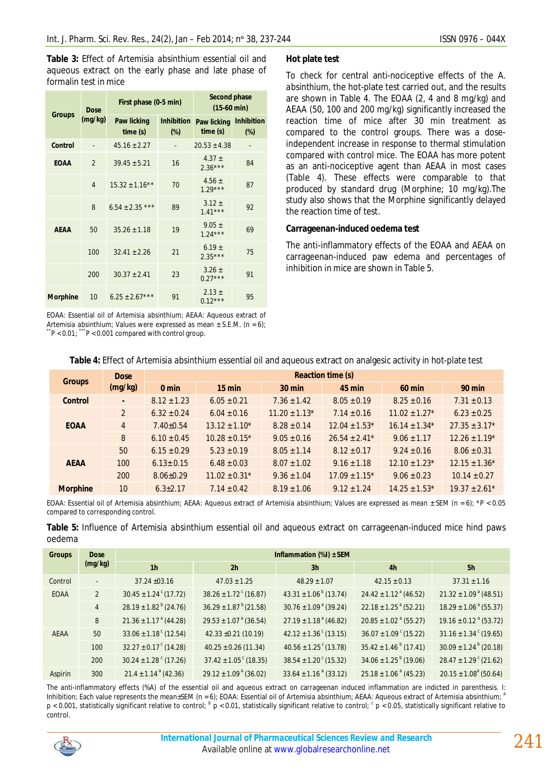**Table 3:** Effect of *Artemisia absinthium* essential oil and aqueous extract on the early phase and late phase of formalin test in mice

|                 | Dose<br>(mg/kg) | First phase (0-5 min)         |                             | <b>Second phase</b><br>$(15-60 \text{ min})$ |                             |  |
|-----------------|-----------------|-------------------------------|-----------------------------|----------------------------------------------|-----------------------------|--|
| <b>Groups</b>   |                 | <b>Paw licking</b><br>time(s) | <b>Inhibition</b><br>$(\%)$ | Paw licking<br>time(s)                       | <b>Inhibition</b><br>$(\%)$ |  |
| Control         |                 | $45.16 \pm 2.27$              |                             | $20.53 \pm 4.38$                             |                             |  |
| <b>EOAA</b>     | $\mathfrak{p}$  | $39.45 \pm 5.21$              | 16                          | 4.37 $\pm$<br>$2.36***$                      | 84                          |  |
|                 | $\overline{4}$  | $15.32 \pm 1.16**$            | 70                          | 4.56 $\pm$<br>$1.29***$                      | 87                          |  |
|                 | 8               | $6.54 \pm 2.35$ ***           | 89                          | $3.12 \pm$<br>$1.41***$                      | 92                          |  |
| <b>AEAA</b>     | 50              | $35.26 \pm 1.18$              | 19                          | $9.05 \pm$<br>$1.24***$                      | 69                          |  |
|                 | 100             | $32.41 + 2.26$                | 21                          | $6.19 \pm$<br>$2.35***$                      | 75                          |  |
|                 | 200             | $30.37 \pm 2.41$              | 23                          | $3.26 \pm$<br>$0.27***$                      | 91                          |  |
| <b>Morphine</b> | 10              | $6.25 \pm 2.67***$            | 91                          | $2.13 \pm$<br>$0.12***$                      | 95                          |  |

EOAA: Essential oil of *Artemisia absinthium*; AEAA: Aqueous extract of *Artemisia absinthium*; Values were expressed as mean ± S.E.M. (n = 6); \*\**P <* 0*.*01; \*\*\**P <* 0*.*001 compared with control group.

#### **Hot plate test**

To check for central anti-nociceptive effects of the *A. absinthium*, the hot-plate test carried out, and the results are shown in Table 4. The EOAA (2, 4 and 8 mg/kg) and AEAA (50, 100 and 200 mg/kg) significantly increased the reaction time of mice after 30 min treatment as compared to the control groups. There was a doseindependent increase in response to thermal stimulation compared with control mice. The EOAA has more potent as an anti-nociceptive agent than AEAA in most cases (Table 4). These effects were comparable to that produced by standard drug (Morphine; 10 mg/kg).The study also shows that the Morphine significantly delayed the reaction time of test.

#### **Carrageenan-induced oedema test**

The anti-inflammatory effects of the EOAA and AEAA on carrageenan-induced paw edema and percentages of inhibition in mice are shown in Table 5.

| Table 4. LITECT OF ALTERITISTA ADSILITINGLY ESSERVED OF ALTU AQUEOUS EXTRACT OFFAMOUSIC ACTIVITY IN HOL-PIATE TEST |                |                          |                    |                    |                    |                    |                               |  |  |  |
|--------------------------------------------------------------------------------------------------------------------|----------------|--------------------------|--------------------|--------------------|--------------------|--------------------|-------------------------------|--|--|--|
| <b>Groups</b>                                                                                                      | <b>Dose</b>    | <b>Reaction time (s)</b> |                    |                    |                    |                    |                               |  |  |  |
|                                                                                                                    | (mg/kg)        | $0 \text{ min}$          | $15$ min           | $30$ min           | $45$ min           | <b>60 min</b>      | <b>90 min</b>                 |  |  |  |
| <b>Control</b>                                                                                                     | $\blacksquare$ | $8.12 \pm 1.23$          | $6.05 \pm 0.21$    | $7.36 \pm 1.42$    | $8.05 \pm 0.19$    | $8.25 \pm 0.16$    | $7.31 \pm 0.13$               |  |  |  |
| <b>EOAA</b>                                                                                                        | $\overline{2}$ | $6.32 \pm 0.24$          | $6.04 \pm 0.16$    | $11.20 \pm 1.13$ * | $7.14 \pm 0.16$    | $11.02 \pm 1.27$ * | $6.23 \pm 0.25$               |  |  |  |
|                                                                                                                    | $\overline{4}$ | $7.40 \pm 0.54$          | $13.12 \pm 1.10^*$ | $8.28 \pm 0.14$    | $12.04 \pm 1.53$ * | $16.14 \pm 1.34*$  | $27.35 \pm 3.17$ *            |  |  |  |
|                                                                                                                    | 8              | $6.10 \pm 0.45$          | $10.28 \pm 0.15^*$ | $9.05 \pm 0.16$    | $26.54 \pm 2.41$ * | $9.06 \pm 1.17$    | $12.26 \pm 1.19*$             |  |  |  |
|                                                                                                                    | 50             | $6.15 \pm 0.29$          | $5.23 \pm 0.19$    | $8.05 \pm 1.14$    | $8.12 \pm 0.17$    | $9.24 \pm 0.16$    | $8.06 \pm 0.31$               |  |  |  |
| <b>AEAA</b>                                                                                                        | 100            | $6.13 \pm 0.15$          | $6.48 \pm 0.03$    | $8.07 \pm 1.02$    | $9.16 \pm 1.18$    | $12.10 \pm 1.23*$  | $12.15 \pm 1.36*$             |  |  |  |
|                                                                                                                    | 200            | $8.06 \pm 0.29$          | $11.02 \pm 0.31$ * | $9.36 \pm 1.04$    | $17.09 \pm 1.15$ * | $9.06 \pm 0.23$    | $10.14 \pm 0.27$              |  |  |  |
| <b>Morphine</b>                                                                                                    | 10             | $6.3 \pm 2.17$           | $7.14 \pm 0.42$    | $8.19 \pm 1.06$    | $9.12 \pm 1.24$    | $14.25 \pm 1.53$ * | $19.37 \pm 2.61$ <sup>*</sup> |  |  |  |

# **Table 4:** Effect of *Artemisia absinthium* essential oil and aqueous extract on analgesic activity in hot-plate test

EOAA: Essential oil of *Artemisia absinthium*; AEAA: Aqueous extract of *Artemisia absinthium*; Values are expressed as mean ± SEM (n = 6); \**P <* 0*.*05 compared to corresponding control.

|        |  |  |  |  | Table 5: Influence of Artemisia absinthium essential oil and aqueous extract on carrageenan-induced mice hind paws |  |  |
|--------|--|--|--|--|--------------------------------------------------------------------------------------------------------------------|--|--|
| oedema |  |  |  |  |                                                                                                                    |  |  |

| <b>Groups</b> | <b>Dose</b>              | Inflammation $(\%)$ ± SEM             |                                       |                                       |                                       |                                       |  |  |  |
|---------------|--------------------------|---------------------------------------|---------------------------------------|---------------------------------------|---------------------------------------|---------------------------------------|--|--|--|
|               | (mg/kg)                  | 1 <sub>h</sub><br>2 <sub>h</sub>      |                                       | 3 <sub>h</sub>                        | 4 <sub>h</sub>                        | 5h                                    |  |  |  |
| Control       | $\overline{\phantom{a}}$ | $37.24 \pm 03.16$                     | $47.03 \pm 1.25$                      | $48.29 \pm 1.07$                      | $42.15 \pm 0.13$                      | $37.31 \pm 1.16$                      |  |  |  |
| <b>EOAA</b>   | 2                        | $30.45 \pm 1.24$ <sup>c</sup> (17.72) | $38.26 \pm 1.72$ <sup>c</sup> (16.87) | $43.31 \pm 1.06^{b}$ (13.74)          | $24.42 \pm 1.12^{\text{a}} (46.52)$   | $21.32 \pm 1.09^{\text{ a}} (48.51)$  |  |  |  |
|               | $\overline{4}$           | $28.19 \pm 1.82^{\mathrm{b}}$ (24.76) | $36.29 \pm 1.87^{\mathrm{b}}(21.58)$  | $30.76 \pm 1.09^{\text{ a}} (39.24)$  | $22.18 \pm 1.25$ <sup>a</sup> (52.21) | $18.29 \pm 1.06^{\text{ a}} (55.37)$  |  |  |  |
|               | 8                        | $21.36 \pm 1.17^{\text{ a}} (44.28)$  | $29.53 \pm 1.07^{\text{ a}} (36.54)$  | $27.19 \pm 1.18^{\text{a}} (46.82)$   | $20.85 \pm 1.02$ <sup>a</sup> (55.27) | $19.16 \pm 0.12$ <sup>a</sup> (53.72) |  |  |  |
| <b>AEAA</b>   | 50                       | $33.06 \pm 1.18$ <sup>c</sup> (12.54) | $42.33 \pm 0.21$ (10.19)              | $42.12 \pm 1.36$ <sup>c</sup> (13.15) | $36.07 \pm 1.09$ $(15.22)$            | $31.16 \pm 1.34$ <sup>c</sup> (19.65) |  |  |  |
|               | 100                      | $32.27 \pm 0.17$ <sup>c</sup> (14.28) | $40.25 \pm 0.26$ (11.34)              | $40.56 \pm 1.25$ <sup>c</sup> (13.78) | $35.42 \pm 1.46^{\circ}$ (17.41)      | $30.09 \pm 1.24^{\mathrm{b}} (20.18)$ |  |  |  |
|               | 200                      | $30.24 \pm 1.28$ <sup>c</sup> (17.26) | $37.42 \pm 1.05$ <sup>c</sup> (18.35) | $38.54 \pm 1.20$ <sup>c</sup> (15.32) | $34.06 \pm 1.25^{b}$ (19.06)          | $28.47 \pm 1.29$ <sup>c</sup> (21.62) |  |  |  |
| Aspirin       | 300                      | $21.4 \pm 1.14^{\text{a}} (42.36)$    | $29.12 \pm 1.09^{\text{ a}} (36.02)$  | $33.64 \pm 1.16^{\text{ a}} (33.12)$  | $25.18 \pm 1.06^{\text{ a}} (45.23)$  | $20.15 \pm 1.08^a$ (50.64)            |  |  |  |

The anti-inflammatory effects (%A) of the essential oil and aqueous extract on carrageenan induced inflammation are indicted in parenthesis. I: Inhibition; Each value represents the mean±SEM (n = 6); EOAA: Essential oil of *Artemisia absinthium*; AEAA: Aqueous extract of *Artemisia absinthium;* <sup>a</sup>  $p < 0.001$ , statistically significant relative to control;  $b$  p < 0.01, statistically significant relative to control;  $c$  p < 0.05, statistically significant relative to control.

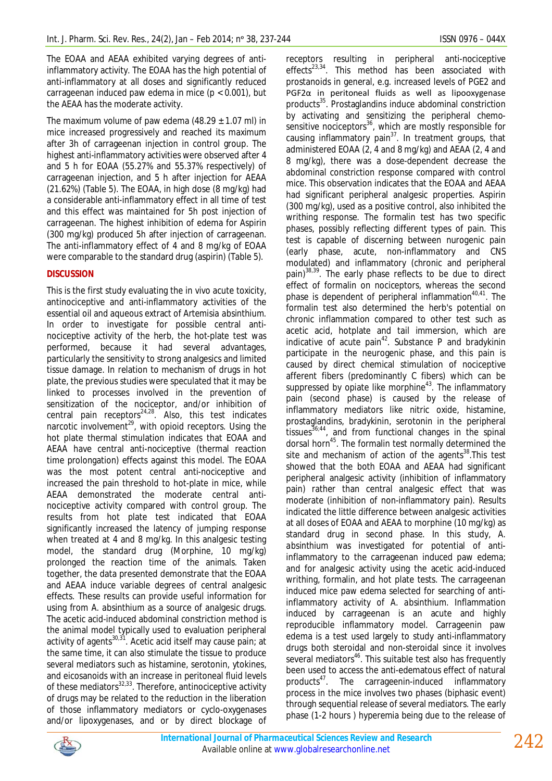The EOAA and AEAA exhibited varying degrees of antiinflammatory activity. The EOAA has the high potential of anti-inflammatory at all doses and significantly reduced carrageenan induced paw edema in mice  $(p < 0.001)$ , but the AEAA has the moderate activity.

The maximum volume of paw edema  $(48.29 \pm 1.07 \text{ ml})$  in mice increased progressively and reached its maximum after 3h of carrageenan injection in control group. The highest anti-inflammatory activities were observed after 4 and 5 h for EOAA (55.27% and 55.37% respectively) of carrageenan injection, and 5 h after injection for AEAA (21.62%) (Table 5). The EOAA, in high dose (8 mg/kg) had a considerable anti-inflammatory effect in all time of test and this effect was maintained for 5h post injection of carrageenan. The highest inhibition of edema for Aspirin (300 mg/kg) produced 5h after injection of carrageenan. The anti-inflammatory effect of 4 and 8 mg/kg of EOAA were comparable to the standard drug (aspirin) (Table 5).

# **DISCUSSION**

This is the first study evaluating the in vivo acute toxicity, antinociceptive and anti-inflammatory activities of the essential oil and aqueous extract of *Artemisia absinthium*. In order to investigate for possible central antinociceptive activity of the herb, the hot-plate test was performed, because it had several advantages, particularly the sensitivity to strong analgesics and limited tissue damage. In relation to mechanism of drugs in hot plate, the previous studies were speculated that it may be linked to processes involved in the prevention of sensitization of the nociceptor, and/or inhibition of central pain receptors $24.28$ . Also, this test indicates narcotic involvement $^{29}$ , with opioid receptors. Using the hot plate thermal stimulation indicates that EOAA and AEAA have central anti-nociceptive (thermal reaction time prolongation) effects against this model. The EOAA was the most potent central anti-nociceptive and increased the pain threshold to hot-plate in mice, while AEAA demonstrated the moderate central antinociceptive activity compared with control group. The results from hot plate test indicated that EOAA significantly increased the latency of jumping response when treated at 4 and 8 mg/kg. In this analgesic testing model, the standard drug (Morphine, 10 mg/kg) prolonged the reaction time of the animals. Taken together, the data presented demonstrate that the EOAA and AEAA induce variable degrees of central analgesic effects. These results can provide useful information for using from *A. absinthium* as a source of analgesic drugs. The acetic acid-induced abdominal constriction method is the animal model typically used to evaluation peripheral activity of agents $30,31$ . Acetic acid itself may cause pain; at the same time, it can also stimulate the tissue to produce several mediators such as histamine, serotonin, ytokines, and eicosanoids with an increase in peritoneal fluid levels of these mediators<sup>32,33</sup>. Therefore, antinociceptive activity of drugs may be related to the reduction in the liberation of those inflammatory mediators or cyclo-oxygenases and/or lipoxygenases, and or by direct blockage of

receptors resulting in peripheral anti-nociceptive effects<sup>23,34</sup>. This method has been associated with prostanoids in general, e.g. increased levels of PGE2 and PGF2α in peritoneal fluids as well as lipooxygenase products<sup>35</sup>. Prostaglandins induce abdominal constriction by activating and sensitizing the peripheral chemosensitive nociceptors $36$ , which are mostly responsible for causing inflammatory pain<sup>37</sup>. In treatment groups, that administered EOAA (2, 4 and 8 mg/kg) and AEAA (2, 4 and 8 mg/kg), there was a dose-dependent decrease the abdominal constriction response compared with control mice. This observation indicates that the EOAA and AEAA had significant peripheral analgesic properties. Aspirin (300 mg/kg), used as a positive control, also inhibited the writhing response. The formalin test has two specific phases, possibly reflecting different types of pain. This test is capable of discerning between nurogenic pain (early phase, acute, non-inflammatory and CNS modulated) and inflammatory (chronic and peripheral pain)<sup>38,39</sup>. The early phase reflects to be due to direct effect of formalin on nociceptors, whereas the second phase is dependent of peripheral inflammation $40,41$ . The formalin test also determined the herb's potential on chronic inflammation compared to other test such as acetic acid, hotplate and tail immersion, which are indicative of acute pain $42$ . Substance P and bradykinin participate in the neurogenic phase, and this pain is caused by direct chemical stimulation of nociceptive afferent fibers (predominantly C fibers) which can be suppressed by opiate like morphine<sup>43</sup>. The inflammatory pain (second phase) is caused by the release of inflammatory mediators like nitric oxide, histamine, prostaglandins, bradykinin, serotonin in the peripheral tissues $36,44$ , and from functional changes in the spinal dorsal horn<sup>45</sup>. The formalin test normally determined the site and mechanism of action of the agents $38$ . This test showed that the both EOAA and AEAA had significant peripheral analgesic activity (inhibition of inflammatory pain) rather than central analgesic effect that was moderate (inhibition of non-inflammatory pain). Results indicated the little difference between analgesic activities at all doses of EOAA and AEAA to morphine (10 mg/kg) as standard drug in second phase. In this study, *A. absinthium* was investigated for potential of antiinflammatory to the carrageenan induced paw edema; and for analgesic activity using the acetic acid-induced writhing, formalin, and hot plate tests. The carrageenan induced mice paw edema selected for searching of antiinflammatory activity of *A. absinthium*. Inflammation induced by carrageenan is an acute and highly reproducible inflammatory model. Carrageenin paw edema is a test used largely to study anti-inflammatory drugs both steroidal and non-steroidal since it involves several mediators<sup>46</sup>. This suitable test also has frequently been used to access the anti-edematous effect of natural products<sup>47</sup>. The carrageenin-induced inflammatory process in the mice involves two phases (biphasic event) through sequential release of several mediators. The early phase (1-2 hours ) hyperemia being due to the release of

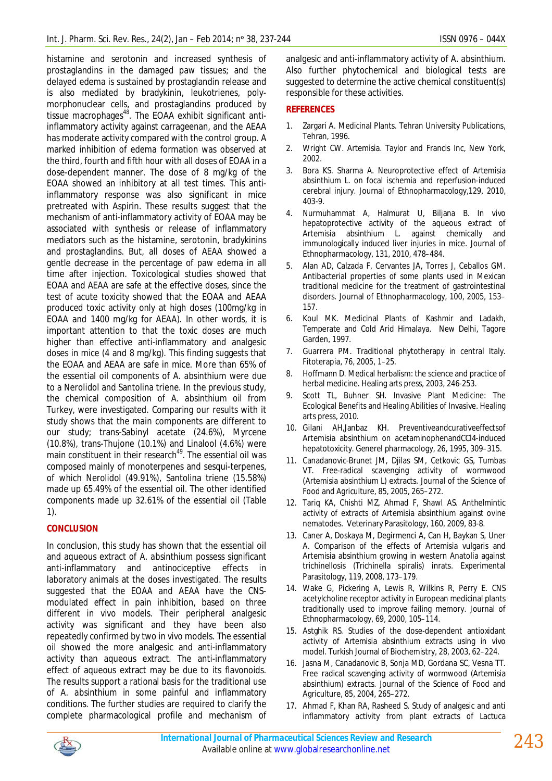histamine and serotonin and increased synthesis of prostaglandins in the damaged paw tissues; and the delayed edema is sustained by prostaglandin release and is also mediated by bradykinin, leukotrienes, polymorphonuclear cells, and prostaglandins produced by tissue macrophages<sup>48</sup>. The EOAA exhibit significant antiinflammatory activity against carrageenan, and the AEAA has moderate activity compared with the control group. A marked inhibition of edema formation was observed at the third, fourth and fifth hour with all doses of EOAA in a dose-dependent manner. The dose of 8 mg/kg of the EOAA showed an inhibitory at all test times. This antiinflammatory response was also significant in mice pretreated with Aspirin. These results suggest that the mechanism of anti-inflammatory activity of EOAA may be associated with synthesis or release of inflammatory mediators such as the histamine, serotonin, bradykinins and prostaglandins. But, all doses of AEAA showed a gentle decrease in the percentage of paw edema in all time after injection. Toxicological studies showed that EOAA and AEAA are safe at the effective doses, since the test of acute toxicity showed that the EOAA and AEAA produced toxic activity only at high doses (100mg/kg in EOAA and 1400 mg/kg for AEAA). In other words, it is important attention to that the toxic doses are much higher than effective anti-inflammatory and analgesic doses in mice (4 and 8 mg/kg). This finding suggests that the EOAA and AEAA are safe in mice. More than 65% of the essential oil components of *A. absinthium* were due to a Nerolidol and Santolina triene. In the previous study, the chemical composition of *A. absinthium* oil from Turkey, were investigated. Comparing our results with it study shows that the main components are different to our study; trans-Sabinyl acetate (24.6%), Myrcene (10.8%), trans-Thujone (10.1%) and Linalool (4.6%) were main constituent in their research<sup>49</sup>. The essential oil was composed mainly of monoterpenes and sesqui-terpenes, of which Nerolidol (49.91%), Santolina triene (15.58%) made up 65.49% of the essential oil. The other identified components made up 32.61% of the essential oil (Table 1).

# **CONCLUSION**

In conclusion, this study has shown that the essential oil and aqueous extract of *A. absinthium* possess significant anti-inflammatory and antinociceptive effects in laboratory animals at the doses investigated. The results suggested that the EOAA and AEAA have the CNSmodulated effect in pain inhibition, based on three different *in vivo* models. Their peripheral analgesic activity was significant and they have been also repeatedly confirmed by two *in vivo* models. The essential oil showed the more analgesic and anti-inflammatory activity than aqueous extract. The anti-inflammatory effect of aqueous extract may be due to its flavonoids. The results support a rational basis for the traditional use of *A. absinthium* in some painful and inflammatory conditions. The further studies are required to clarify the complete pharmacological profile and mechanism of

analgesic and anti-inflammatory activity of *A. absinthium*. Also further phytochemical and biological tests are suggested to determine the active chemical constituent(s) responsible for these activities.

### **REFERENCES**

- 1. Zargari A. Medicinal Plants. Tehran University Publications, Tehran, 1996.
- 2. Wright CW. Artemisia. Taylor and Francis Inc, New York, 2002.
- 3. Bora KS. Sharma A. Neuroprotective effect of Artemisia absinthium L. on focal ischemia and reperfusion-induced cerebral injury. Journal of Ethnopharmacology,129, 2010, 403-9.
- 4. Nurmuhammat A, Halmurat U, Biljana B. In vivo hepatoprotective activity of the aqueous extract of Artemisia absinthium L. against chemically and immunologically induced liver injuries in mice. Journal of Ethnopharmacology, 131, 2010, 478–484.
- 5. Alan AD, Calzada F, Cervantes JA, Torres J, Ceballos GM. Antibacterial properties of some plants used in Mexican traditional medicine for the treatment of gastrointestinal disorders. Journal of Ethnopharmacology, 100, 2005, 153– 157.
- 6. Koul MK. Medicinal Plants of Kashmir and Ladakh, Temperate and Cold Arid Himalaya. New Delhi, Tagore Garden, 1997.
- 7. Guarrera PM. Traditional phytotherapy in central Italy. Fitoterapia, 76, 2005, 1–25.
- 8. Hoffmann D. Medical herbalism: the science and practice of herbal medicine. Healing arts press, 2003, 246-253.
- Scott TL, Buhner SH. Invasive Plant Medicine: The Ecological Benefits and Healing Abilities of Invasive. Healing arts press, 2010.
- 10. Gilani AH,Janbaz KH. Preventiveandcurativeeffectsof Artemisia absinthium on acetaminophenandCCl4-induced hepatotoxicity. Generel pharmacology, 26, 1995, 309–315.
- 11. Canadanovic-Brunet JM, Djilas SM, Cetkovic GS, Tumbas VT. Free-radical scavenging activity of wormwood (Artemisia absinthium L) extracts. Journal of the Science of Food and Agriculture, 85, 2005, 265–272.
- 12. Tariq KA, Chishti MZ, Ahmad F, Shawl AS. Anthelmintic activity of extracts of Artemisia absinthium against ovine nematodes. Veterinary Parasitology, 160, 2009, 83-8.
- 13. Caner A, Doskaya M, Degirmenci A, Can H, Baykan S, Uner A. Comparison of the effects of Artemisia vulgaris and Artemisia absinthium growing in western Anatolia against trichinellosis (Trichinella spiralis) inrats. Experimental Parasitology, 119, 2008, 173–179.
- 14. Wake G, Pickering A, Lewis R, Wilkins R, Perry E. CNS acetylcholine receptor activity in European medicinal plants traditionally used to improve failing memory. Journal of Ethnopharmacology, 69, 2000, 105–114.
- 15. Astghik RS. Studies of the dose-dependent antioxidant activity of Artemisia absinthium extracts using in vivo model. Turkish Journal of Biochemistry, 28, 2003, 62–224.
- 16. Jasna M, Canadanovic B, Sonja MD, Gordana SC, Vesna TT. Free radical scavenging activity of wormwood (Artemisia absinthium) extracts. Journal of the Science of Food and Agriculture, 85, 2004, 265–272.
- 17. Ahmad F, Khan RA, Rasheed S. Study of analgesic and anti inflammatory activity from plant extracts of Lactuca